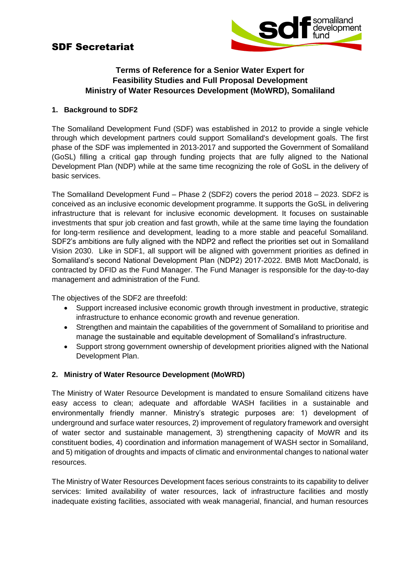# SDF Secretariat



## **Terms of Reference for a Senior Water Expert for Feasibility Studies and Full Proposal Development Ministry of Water Resources Development (MoWRD), Somaliland**

## **1. Background to SDF2**

The Somaliland Development Fund (SDF) was established in 2012 to provide a single vehicle through which development partners could support Somaliland's development goals. The first phase of the SDF was implemented in 2013-2017 and supported the Government of Somaliland (GoSL) filling a critical gap through funding projects that are fully aligned to the National Development Plan (NDP) while at the same time recognizing the role of GoSL in the delivery of basic services.

The Somaliland Development Fund – Phase 2 (SDF2) covers the period 2018 – 2023. SDF2 is conceived as an inclusive economic development programme. It supports the GoSL in delivering infrastructure that is relevant for inclusive economic development. It focuses on sustainable investments that spur job creation and fast growth, while at the same time laying the foundation for long-term resilience and development, leading to a more stable and peaceful Somaliland. SDF2's ambitions are fully aligned with the NDP2 and reflect the priorities set out in Somaliland Vision 2030. Like in SDF1, all support will be aligned with government priorities as defined in Somaliland's second National Development Plan (NDP2) 2017-2022. BMB Mott MacDonald, is contracted by DFID as the Fund Manager. The Fund Manager is responsible for the day-to-day management and administration of the Fund.

The objectives of the SDF2 are threefold:

- Support increased inclusive economic growth through investment in productive, strategic infrastructure to enhance economic growth and revenue generation.
- Strengthen and maintain the capabilities of the government of Somaliland to prioritise and manage the sustainable and equitable development of Somaliland's infrastructure.
- Support strong government ownership of development priorities aligned with the National Development Plan.

#### **2. Ministry of Water Resource Development (MoWRD)**

The Ministry of Water Resource Development is mandated to ensure Somaliland citizens have easy access to clean; adequate and affordable WASH facilities in a sustainable and environmentally friendly manner. Ministry's strategic purposes are: 1) development of underground and surface water resources, 2) improvement of regulatory framework and oversight of water sector and sustainable management, 3) strengthening capacity of MoWR and its constituent bodies, 4) coordination and information management of WASH sector in Somaliland, and 5) mitigation of droughts and impacts of climatic and environmental changes to national water resources.

The Ministry of Water Resources Development faces serious constraints to its capability to deliver services: limited availability of water resources, lack of infrastructure facilities and mostly inadequate existing facilities, associated with weak managerial, financial, and human resources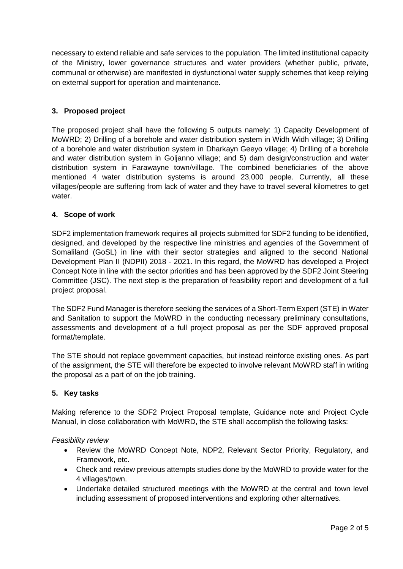necessary to extend reliable and safe services to the population. The limited institutional capacity of the Ministry, lower governance structures and water providers (whether public, private, communal or otherwise) are manifested in dysfunctional water supply schemes that keep relying on external support for operation and maintenance.

## **3. Proposed project**

The proposed project shall have the following 5 outputs namely: 1) Capacity Development of MoWRD; 2) Drilling of a borehole and water distribution system in Widh Widh village; 3) Drilling of a borehole and water distribution system in Dharkayn Geeyo village; 4) Drilling of a borehole and water distribution system in Goljanno village; and 5) dam design/construction and water distribution system in Farawayne town/village. The combined beneficiaries of the above mentioned 4 water distribution systems is around 23,000 people. Currently, all these villages/people are suffering from lack of water and they have to travel several kilometres to get water.

#### **4. Scope of work**

SDF2 implementation framework requires all projects submitted for SDF2 funding to be identified, designed, and developed by the respective line ministries and agencies of the Government of Somaliland (GoSL) in line with their sector strategies and aligned to the second National Development Plan II (NDPII) 2018 - 2021. In this regard, the MoWRD has developed a Project Concept Note in line with the sector priorities and has been approved by the SDF2 Joint Steering Committee (JSC). The next step is the preparation of feasibility report and development of a full project proposal.

The SDF2 Fund Manager is therefore seeking the services of a Short-Term Expert (STE) in Water and Sanitation to support the MoWRD in the conducting necessary preliminary consultations, assessments and development of a full project proposal as per the SDF approved proposal format/template.

The STE should not replace government capacities, but instead reinforce existing ones. As part of the assignment, the STE will therefore be expected to involve relevant MoWRD staff in writing the proposal as a part of on the job training.

#### **5. Key tasks**

Making reference to the SDF2 Project Proposal template, Guidance note and Project Cycle Manual, in close collaboration with MoWRD, the STE shall accomplish the following tasks:

#### *Feasibility review*

- Review the MoWRD Concept Note, NDP2, Relevant Sector Priority, Regulatory, and Framework, etc.
- Check and review previous attempts studies done by the MoWRD to provide water for the 4 villages/town.
- Undertake detailed structured meetings with the MoWRD at the central and town level including assessment of proposed interventions and exploring other alternatives.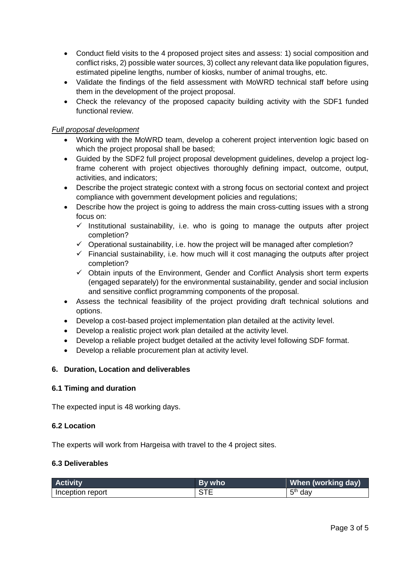- Conduct field visits to the 4 proposed project sites and assess: 1) social composition and conflict risks, 2) possible water sources, 3) collect any relevant data like population figures, estimated pipeline lengths, number of kiosks, number of animal troughs, etc.
- Validate the findings of the field assessment with MoWRD technical staff before using them in the development of the project proposal.
- Check the relevancy of the proposed capacity building activity with the SDF1 funded functional review.

## *Full proposal development*

- Working with the MoWRD team, develop a coherent project intervention logic based on which the project proposal shall be based;
- Guided by the SDF2 full project proposal development guidelines, develop a project logframe coherent with project objectives thoroughly defining impact, outcome, output, activities, and indicators;
- Describe the project strategic context with a strong focus on sectorial context and project compliance with government development policies and regulations;
- Describe how the project is going to address the main cross-cutting issues with a strong focus on:
	- $\checkmark$  Institutional sustainability, i.e. who is going to manage the outputs after project completion?
	- $\checkmark$  Operational sustainability, i.e. how the project will be managed after completion?
	- $\checkmark$  Financial sustainability, i.e. how much will it cost managing the outputs after project completion?
	- ✓ Obtain inputs of the Environment, Gender and Conflict Analysis short term experts (engaged separately) for the environmental sustainability, gender and social inclusion and sensitive conflict programming components of the proposal.
- Assess the technical feasibility of the project providing draft technical solutions and options.
- Develop a cost-based project implementation plan detailed at the activity level.
- Develop a realistic project work plan detailed at the activity level.
- Develop a reliable project budget detailed at the activity level following SDF format.
- Develop a reliable procurement plan at activity level.

#### **6. Duration, Location and deliverables**

#### **6.1 Timing and duration**

The expected input is 48 working days.

#### **6.2 Location**

The experts will work from Hargeisa with travel to the 4 project sites.

#### **6.3 Deliverables**

| <b>Activity</b>  | By who | When (working day)  |
|------------------|--------|---------------------|
| Inception report |        | 5 <sup>th</sup> day |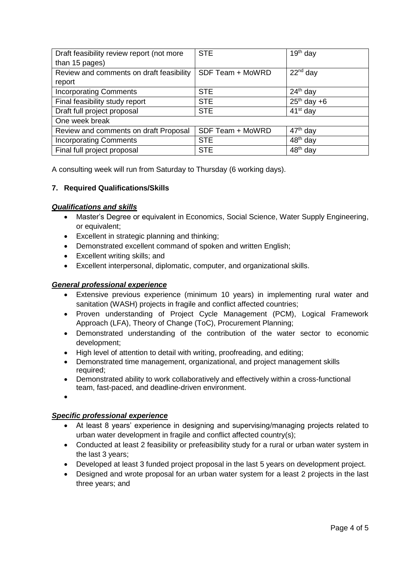| Draft feasibility review report (not more | <b>STE</b>       | $19th$ day           |
|-------------------------------------------|------------------|----------------------|
| than 15 pages)                            |                  |                      |
| Review and comments on draft feasibility  | SDF Team + MoWRD | $22nd$ day           |
| report                                    |                  |                      |
| <b>Incorporating Comments</b>             | <b>STE</b>       | $24th$ day           |
| Final feasibility study report            | <b>STE</b>       | $25th$ day +6        |
| Draft full project proposal               | <b>STE</b>       | $41st$ day           |
| One week break                            |                  |                      |
| Review and comments on draft Proposal     | SDF Team + MoWRD | $47th$ day           |
| <b>Incorporating Comments</b>             | <b>STE</b>       | 48 <sup>th</sup> day |
| Final full project proposal               | <b>STE</b>       | 48 <sup>th</sup> day |

A consulting week will run from Saturday to Thursday (6 working days).

## **7. Required Qualifications/Skills**

#### *Qualifications and skills*

- Master's Degree or equivalent in Economics, Social Science, Water Supply Engineering, or equivalent;
- Excellent in strategic planning and thinking;
- Demonstrated excellent command of spoken and written English;
- Excellent writing skills; and
- Excellent interpersonal, diplomatic, computer, and organizational skills.

#### *General professional experience*

- Extensive previous experience (minimum 10 years) in implementing rural water and sanitation (WASH) projects in fragile and conflict affected countries;
- Proven understanding of Project Cycle Management (PCM), Logical Framework Approach (LFA), Theory of Change (ToC), Procurement Planning;
- Demonstrated understanding of the contribution of the water sector to economic development;
- High level of attention to detail with writing, proofreading, and editing;
- Demonstrated time management, organizational, and project management skills required;
- Demonstrated ability to work collaboratively and effectively within a cross-functional team, fast-paced, and deadline-driven environment.
- •

#### *Specific professional experience*

- At least 8 years' experience in designing and supervising/managing projects related to urban water development in fragile and conflict affected country(s);
- Conducted at least 2 feasibility or prefeasibility study for a rural or urban water system in the last 3 years;
- Developed at least 3 funded project proposal in the last 5 years on development project.
- Designed and wrote proposal for an urban water system for a least 2 projects in the last three years; and